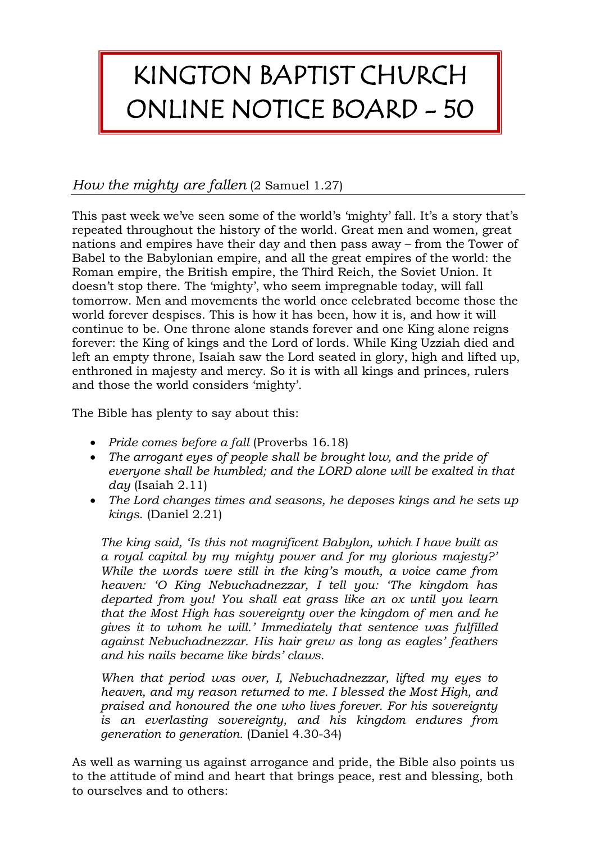## KINGTON BAPTIST CHURCH ONLINE NOTICE BOARD - 50

## *How the mighty are fallen* (2 Samuel 1.27)

This past week we've seen some of the world's 'mighty' fall. It's a story that's repeated throughout the history of the world. Great men and women, great nations and empires have their day and then pass away – from the Tower of Babel to the Babylonian empire, and all the great empires of the world: the Roman empire, the British empire, the Third Reich, the Soviet Union. It doesn't stop there. The 'mighty', who seem impregnable today, will fall tomorrow. Men and movements the world once celebrated become those the world forever despises. This is how it has been, how it is, and how it will continue to be. One throne alone stands forever and one King alone reigns forever: the King of kings and the Lord of lords. While King Uzziah died and left an empty throne, Isaiah saw the Lord seated in glory, high and lifted up, enthroned in majesty and mercy. So it is with all kings and princes, rulers and those the world considers 'mighty'.

The Bible has plenty to say about this:

- *Pride comes before a fall* (Proverbs 16.18)
- *The arrogant eyes of people shall be brought low, and the pride of everyone shall be humbled; and the LORD alone will be exalted in that day* (Isaiah 2.11)
- *The Lord changes times and seasons, he deposes kings and he sets up kings*. (Daniel 2.21)

*The king said, 'Is this not magnificent Babylon, which I have built as a royal capital by my mighty power and for my glorious majesty?' While the words were still in the king's mouth, a voice came from heaven: 'O King Nebuchadnezzar, I tell you: 'The kingdom has departed from you! You shall eat grass like an ox until you learn that the Most High has sovereignty over the kingdom of men and he gives it to whom he will.' Immediately that sentence was fulfilled against Nebuchadnezzar. His hair grew as long as eagles' feathers and his nails became like birds' claws.*

*When that period was over, I, Nebuchadnezzar, lifted my eyes to heaven, and my reason returned to me. I blessed the Most High, and praised and honoured the one who lives forever. For his sovereignty is an everlasting sovereignty, and his kingdom endures from generation to generation.* (Daniel 4.30-34)

As well as warning us against arrogance and pride, the Bible also points us to the attitude of mind and heart that brings peace, rest and blessing, both to ourselves and to others: